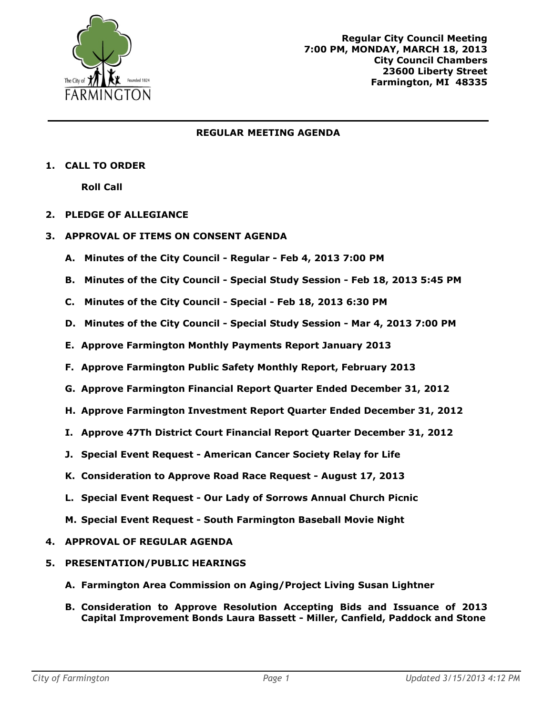

## **REGULAR MEETING AGENDA**

## **1. CALL TO ORDER**

**Roll Call**

- **2. PLEDGE OF ALLEGIANCE**
- **3. APPROVAL OF ITEMS ON CONSENT AGENDA**
	- **A. Minutes of the City Council - Regular - Feb 4, 2013 7:00 PM**
	- **B. Minutes of the City Council - Special Study Session - Feb 18, 2013 5:45 PM**
	- **C. Minutes of the City Council - Special - Feb 18, 2013 6:30 PM**
	- **D. Minutes of the City Council - Special Study Session - Mar 4, 2013 7:00 PM**
	- **E. Approve Farmington Monthly Payments Report January 2013**
	- **F. Approve Farmington Public Safety Monthly Report, February 2013**
	- **G. Approve Farmington Financial Report Quarter Ended December 31, 2012**
	- **H. Approve Farmington Investment Report Quarter Ended December 31, 2012**
	- **I. Approve 47Th District Court Financial Report Quarter December 31, 2012**
	- **J. Special Event Request - American Cancer Society Relay for Life**
	- **K. Consideration to Approve Road Race Request - August 17, 2013**
	- **L. Special Event Request - Our Lady of Sorrows Annual Church Picnic**
	- **M. Special Event Request - South Farmington Baseball Movie Night**

## **4. APPROVAL OF REGULAR AGENDA**

## **5. PRESENTATION/PUBLIC HEARINGS**

- **A. Farmington Area Commission on Aging/Project Living Susan Lightner**
- **B. Consideration to Approve Resolution Accepting Bids and Issuance of 2013 Capital Improvement Bonds Laura Bassett - Miller, Canfield, Paddock and Stone**